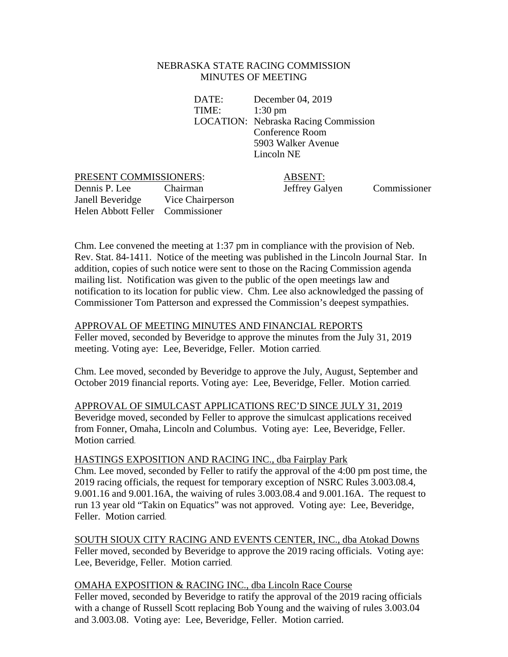### NEBRASKA STATE RACING COMMISSION MINUTES OF MEETING

DATE: December 04, 2019 TIME: 1:30 pm LOCATION: Nebraska Racing Commission Conference Room 5903 Walker Avenue Lincoln NE

#### PRESENT COMMISSIONERS: ABSENT:

Dennis P. Lee Chairman Jeffrey Galyen Commissioner Janell Beveridge Vice Chairperson Helen Abbott Feller Commissioner

Chm. Lee convened the meeting at 1:37 pm in compliance with the provision of Neb. Rev. Stat. 84-1411. Notice of the meeting was published in the Lincoln Journal Star. In addition, copies of such notice were sent to those on the Racing Commission agenda mailing list. Notification was given to the public of the open meetings law and notification to its location for public view. Chm. Lee also acknowledged the passing of Commissioner Tom Patterson and expressed the Commission's deepest sympathies.

### APPROVAL OF MEETING MINUTES AND FINANCIAL REPORTS

Feller moved, seconded by Beveridge to approve the minutes from the July 31, 2019 meeting. Voting aye: Lee, Beveridge, Feller. Motion carried.

Chm. Lee moved, seconded by Beveridge to approve the July, August, September and October 2019 financial reports. Voting aye: Lee, Beveridge, Feller. Motion carried.

APPROVAL OF SIMULCAST APPLICATIONS REC'D SINCE JULY 31, 2019 Beveridge moved, seconded by Feller to approve the simulcast applications received from Fonner, Omaha, Lincoln and Columbus. Voting aye: Lee, Beveridge, Feller. Motion carried.

HASTINGS EXPOSITION AND RACING INC., dba Fairplay Park Chm. Lee moved, seconded by Feller to ratify the approval of the 4:00 pm post time, the 2019 racing officials, the request for temporary exception of NSRC Rules 3.003.08.4, 9.001.16 and 9.001.16A, the waiving of rules 3.003.08.4 and 9.001.16A. The request to run 13 year old "Takin on Equatics" was not approved. Voting aye: Lee, Beveridge, Feller. Motion carried.

SOUTH SIOUX CITY RACING AND EVENTS CENTER, INC., dba Atokad Downs Feller moved, seconded by Beveridge to approve the 2019 racing officials. Voting aye: Lee, Beveridge, Feller. Motion carried.

OMAHA EXPOSITION & RACING INC., dba Lincoln Race Course Feller moved, seconded by Beveridge to ratify the approval of the 2019 racing officials with a change of Russell Scott replacing Bob Young and the waiving of rules 3.003.04 and 3.003.08. Voting aye: Lee, Beveridge, Feller. Motion carried.